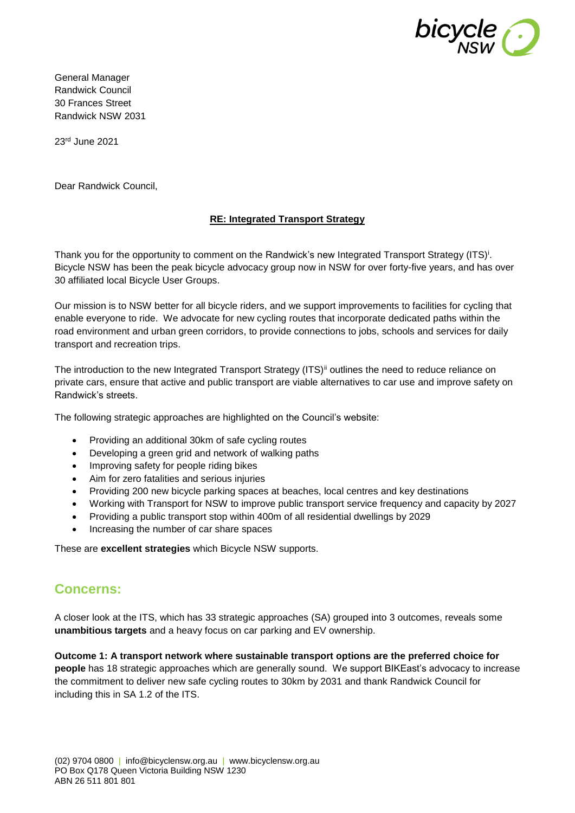

General Manager Randwick Council 30 Frances Street Randwick NSW 2031

23rd June 2021

Dear Randwick Council,

### **RE: Integrated Transport Strategy**

Thank you for the opportunity to comment on the Randwick's new Integrated Transport Strategy (ITS)<sup>i</sup>. Bicycle NSW has been the peak bicycle advocacy group now in NSW for over forty-five years, and has over 30 affiliated local Bicycle User Groups.

Our mission is to NSW better for all bicycle riders, and we support improvements to facilities for cycling that enable everyone to ride. We advocate for new cycling routes that incorporate dedicated paths within the road environment and urban green corridors, to provide connections to jobs, schools and services for daily transport and recreation trips.

The introduction to the new Integrated Transport Strategy (ITS)<sup>ii</sup> outlines the need to reduce reliance on private cars, ensure that active and public transport are viable alternatives to car use and improve safety on Randwick's streets.

The following strategic approaches are highlighted on the Council's website:

- Providing an additional 30km of safe cycling routes
- Developing a green grid and network of walking paths
- Improving safety for people riding bikes
- Aim for zero fatalities and serious injuries
- Providing 200 new bicycle parking spaces at beaches, local centres and key destinations
- Working with Transport for NSW to improve public transport service frequency and capacity by 2027
- Providing a public transport stop within 400m of all residential dwellings by 2029
- Increasing the number of car share spaces

These are **excellent strategies** which Bicycle NSW supports.

## **Concerns:**

A closer look at the ITS, which has 33 strategic approaches (SA) grouped into 3 outcomes, reveals some **unambitious targets** and a heavy focus on car parking and EV ownership.

**Outcome 1: A transport network where sustainable transport options are the preferred choice for people** has 18 strategic approaches which are generally sound. We support BIKEast's advocacy to increase the commitment to deliver new safe cycling routes to 30km by 2031 and thank Randwick Council for including this in SA 1.2 of the ITS.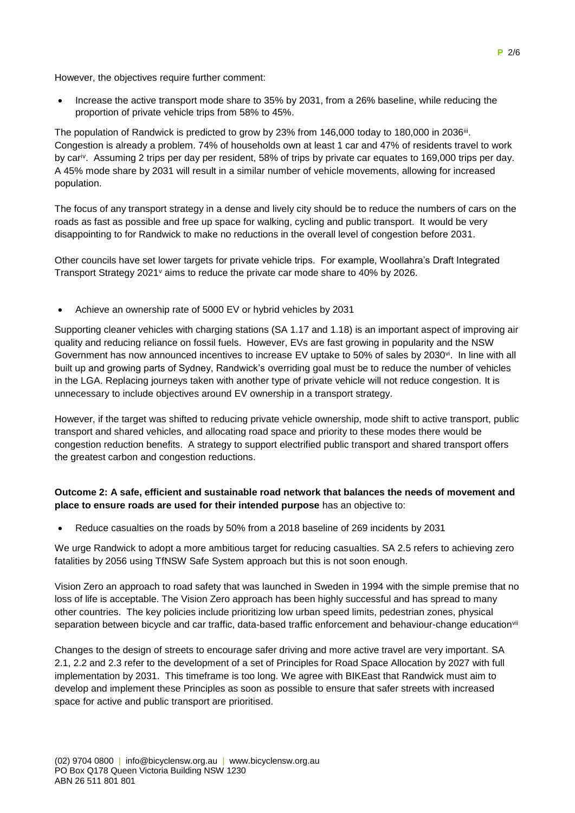However, the objectives require further comment:

 Increase the active transport mode share to 35% by 2031, from a 26% baseline, while reducing the proportion of private vehicle trips from 58% to 45%.

The population of Randwick is predicted to grow by 23% from 146,000 today to 180,000 in 2036<sup>iii</sup>. Congestion is already a problem. 74% of households own at least 1 car and 47% of residents travel to work by cariv. Assuming 2 trips per day per resident, 58% of trips by private car equates to 169,000 trips per day. A 45% mode share by 2031 will result in a similar number of vehicle movements, allowing for increased population.

The focus of any transport strategy in a dense and lively city should be to reduce the numbers of cars on the roads as fast as possible and free up space for walking, cycling and public transport. It would be very disappointing to for Randwick to make no reductions in the overall level of congestion before 2031.

Other councils have set lower targets for private vehicle trips. For example, Woollahra's Draft Integrated Transport Strategy 2021 $v$  aims to reduce the private car mode share to 40% by 2026.

Achieve an ownership rate of 5000 EV or hybrid vehicles by 2031

Supporting cleaner vehicles with charging stations (SA 1.17 and 1.18) is an important aspect of improving air quality and reducing reliance on fossil fuels. However, EVs are fast growing in popularity and the NSW Government has now announced incentives to increase EV uptake to 50% of sales by 2030<sup>vi</sup>. In line with all built up and growing parts of Sydney, Randwick's overriding goal must be to reduce the number of vehicles in the LGA. Replacing journeys taken with another type of private vehicle will not reduce congestion. It is unnecessary to include objectives around EV ownership in a transport strategy.

However, if the target was shifted to reducing private vehicle ownership, mode shift to active transport, public transport and shared vehicles, and allocating road space and priority to these modes there would be congestion reduction benefits. A strategy to support electrified public transport and shared transport offers the greatest carbon and congestion reductions.

### **Outcome 2: A safe, efficient and sustainable road network that balances the needs of movement and place to ensure roads are used for their intended purpose** has an objective to:

Reduce casualties on the roads by 50% from a 2018 baseline of 269 incidents by 2031

We urge Randwick to adopt a more ambitious target for reducing casualties. SA 2.5 refers to achieving zero fatalities by 2056 using TfNSW Safe System approach but this is not soon enough.

Vision Zero an approach to road safety that was launched in Sweden in 1994 with the simple premise that no loss of life is acceptable. The Vision Zero approach has been highly successful and has spread to many other countries. The key policies include prioritizing low urban speed limits, pedestrian zones, physical separation between bicycle and car traffic, data-based traffic enforcement and behaviour-change educationvii

Changes to the design of streets to encourage safer driving and more active travel are very important. SA 2.1, 2.2 and 2.3 refer to the development of a set of Principles for Road Space Allocation by 2027 with full implementation by 2031. This timeframe is too long. We agree with BIKEast that Randwick must aim to develop and implement these Principles as soon as possible to ensure that safer streets with increased space for active and public transport are prioritised.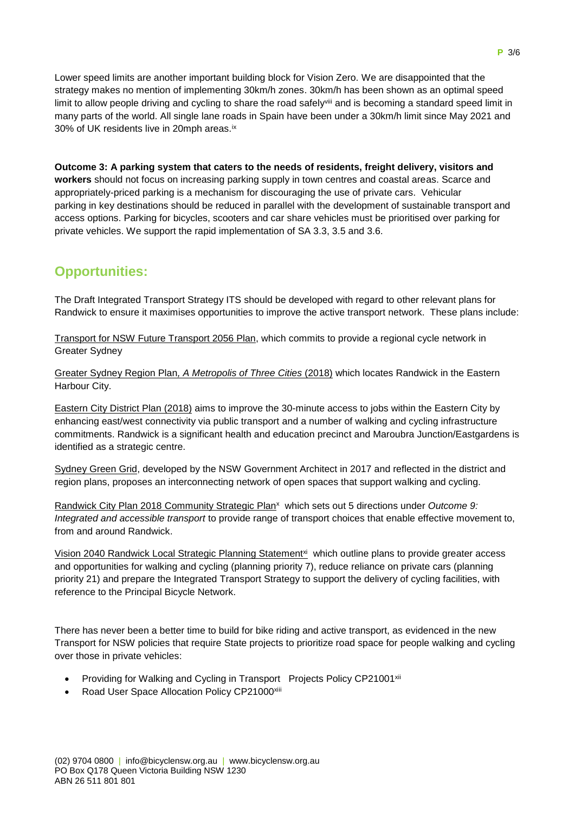Lower speed limits are another important building block for Vision Zero. We are disappointed that the strategy makes no mention of implementing 30km/h zones. 30km/h has been shown as an optimal speed limit to allow people driving and cycling to share the road safely<sup>viii</sup> and is becoming a standard speed limit in many parts of the world. All single lane roads in Spain have been under a 30km/h limit since May 2021 and 30% of UK residents live in 20mph areas.<sup>ix</sup>

**Outcome 3: A parking system that caters to the needs of residents, freight delivery, visitors and workers** should not focus on increasing parking supply in town centres and coastal areas. Scarce and appropriately-priced parking is a mechanism for discouraging the use of private cars. Vehicular parking in key destinations should be reduced in parallel with the development of sustainable transport and access options. Parking for bicycles, scooters and car share vehicles must be prioritised over parking for private vehicles. We support the rapid implementation of SA 3.3, 3.5 and 3.6.

# **Opportunities:**

The Draft Integrated Transport Strategy ITS should be developed with regard to other relevant plans for Randwick to ensure it maximises opportunities to improve the active transport network. These plans include:

Transport for NSW Future Transport 2056 Plan, which commits to provide a regional cycle network in Greater Sydney

Greater Sydney Region Plan*, A Metropolis of Three Cities* (2018) which locates Randwick in the Eastern Harbour City.

Eastern City District Plan (2018) aims to improve the 30-minute access to jobs within the Eastern City by enhancing east/west connectivity via public transport and a number of walking and cycling infrastructure commitments. Randwick is a significant health and education precinct and Maroubra Junction/Eastgardens is identified as a strategic centre.

Sydney Green Grid, developed by the NSW Government Architect in 2017 and reflected in the district and region plans, proposes an interconnecting network of open spaces that support walking and cycling.

Randwick City Plan 2018 Community Strategic Plan<sup>x</sup> which sets out 5 directions under *Outcome 9: Integrated and accessible transport* to provide range of transport choices that enable effective movement to, from and around Randwick.

Vision 2040 Randwick Local Strategic Planning Statement<sup>xi</sup> which outline plans to provide greater access and opportunities for walking and cycling (planning priority 7), reduce reliance on private cars (planning priority 21) and prepare the Integrated Transport Strategy to support the delivery of cycling facilities, with reference to the Principal Bicycle Network.

There has never been a better time to build for bike riding and active transport, as evidenced in the new Transport for NSW policies that require State projects to prioritize road space for people walking and cycling over those in private vehicles:

- Providing for Walking and Cycling in Transport Projects Policy CP21001<sup>xii</sup>
- Road User Space Allocation Policy CP21000xiii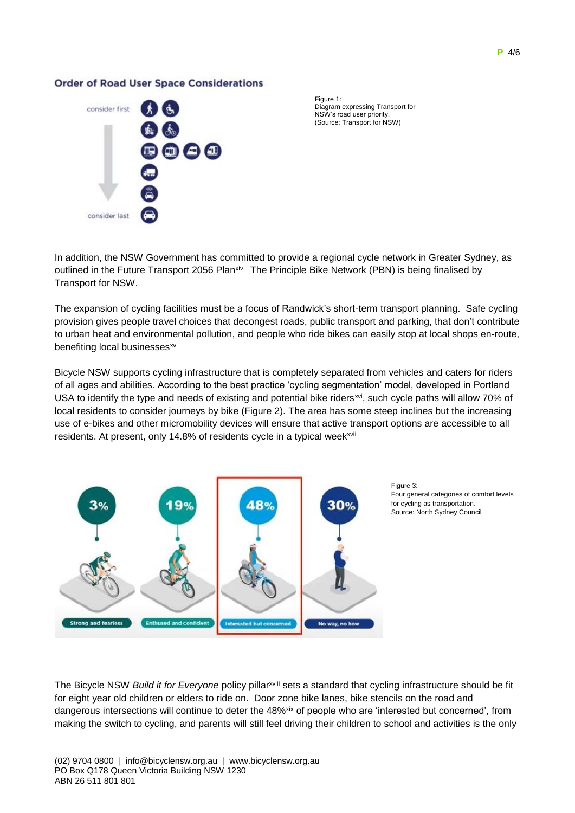#### **P** 4/6

#### **Order of Road User Space Considerations**



Figure 1: Diagram expressing Transport for NSW's road user priority. (Source: Transport for NSW)

In addition, the NSW Government has committed to provide a regional cycle network in Greater Sydney, as outlined in the Future Transport 2056 Plan<sup>xiv.</sup> The Principle Bike Network (PBN) is being finalised by Transport for NSW.

The expansion of cycling facilities must be a focus of Randwick's short-term transport planning. Safe cycling provision gives people travel choices that decongest roads, public transport and parking, that don't contribute to urban heat and environmental pollution, and people who ride bikes can easily stop at local shops en-route, benefiting local businesses<sup>xv.</sup>

Bicycle NSW supports cycling infrastructure that is completely separated from vehicles and caters for riders of all ages and abilities. According to the best practice 'cycling segmentation' model, developed in Portland USA to identify the type and needs of existing and potential bike riders<sup>xvi</sup>, such cycle paths will allow 70% of local residents to consider journeys by bike (Figure 2). The area has some steep inclines but the increasing use of e-bikes and other micromobility devices will ensure that active transport options are accessible to all residents. At present, only 14.8% of residents cycle in a typical week<sup>xvii</sup>





The Bicycle NSW *Build it for Everyone* policy pillarxviii sets a standard that cycling infrastructure should be fit for eight year old children or elders to ride on. Door zone bike lanes, bike stencils on the road and dangerous intersections will continue to deter the 48%<sup>xix</sup> of people who are 'interested but concerned', from making the switch to cycling, and parents will still feel driving their children to school and activities is the only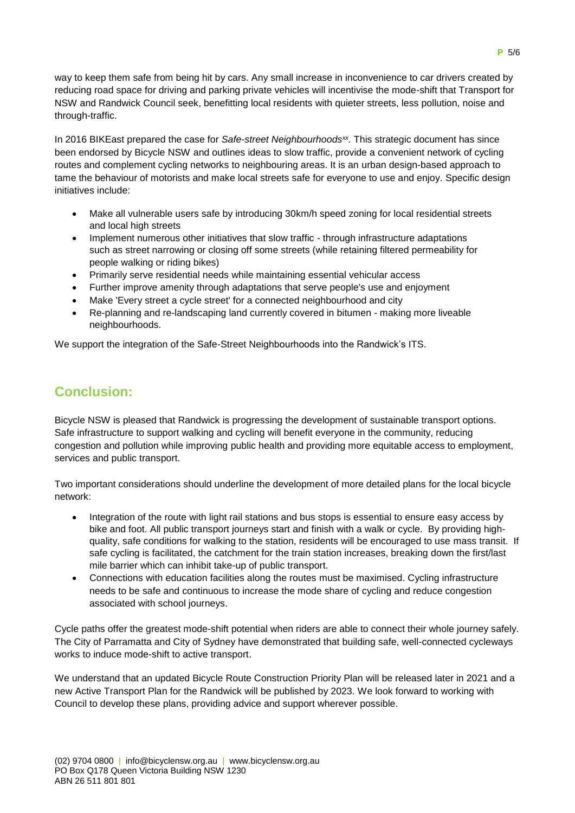way to keep them safe from being hit by cars. Any small increase in inconvenience to car drivers created by reducing road space for driving and parking private vehicles will incentivise the mode-shift that Transport for NSW and Randwick Council seek, benefitting local residents with quieter streets, less pollution, noise and through-traffic.

In 2016 BIKEast prepared the case for *Safe-street Neighbourhoodsxx .* This strategic document has since been endorsed by Bicycle NSW and outlines ideas to slow traffic, provide a convenient network of cycling routes and complement cycling networks to neighbouring areas. It is an urban design-based approach to tame the behaviour of motorists and make local streets safe for everyone to use and enjoy. Specific design initiatives include:

- Make all vulnerable users safe by introducing 30km/h speed zoning for local residential streets and local high streets
- Implement numerous other initiatives that slow traffic through infrastructure adaptations such as street narrowing or closing off some streets (while retaining filtered permeability for people walking or riding bikes)
- Primarily serve residential needs while maintaining essential vehicular access
- Further improve amenity through adaptations that serve people's use and enjoyment
- Make 'Every street a cycle street' for a connected neighbourhood and city
- Re-planning and re-landscaping land currently covered in bitumen making more liveable neighbourhoods.

We support the integration of the Safe-Street Neighbourhoods into the Randwick's ITS.

## **Conclusion:**

Bicycle NSW is pleased that Randwick is progressing the development of sustainable transport options. Safe infrastructure to support walking and cycling will benefit everyone in the community, reducing congestion and pollution while improving public health and providing more equitable access to employment, services and public transport.

Two important considerations should underline the development of more detailed plans for the local bicycle network:

- Integration of the route with light rail stations and bus stops is essential to ensure easy access by bike and foot. All public transport journeys start and finish with a walk or cycle. By providing highquality, safe conditions for walking to the station, residents will be encouraged to use mass transit. If safe cycling is facilitated, the catchment for the train station increases, breaking down the first/last mile barrier which can inhibit take-up of public transport.
- Connections with education facilities along the routes must be maximised. Cycling infrastructure needs to be safe and continuous to increase the mode share of cycling and reduce congestion associated with school journeys.

Cycle paths offer the greatest mode-shift potential when riders are able to connect their whole journey safely. The City of Parramatta and City of Sydney have demonstrated that building safe, well-connected cycleways works to induce mode-shift to active transport.

We understand that an updated Bicycle Route Construction Priority Plan will be released later in 2021 and a new Active Transport Plan for the Randwick will be published by 2023. We look forward to working with Council to develop these plans, providing advice and support wherever possible.